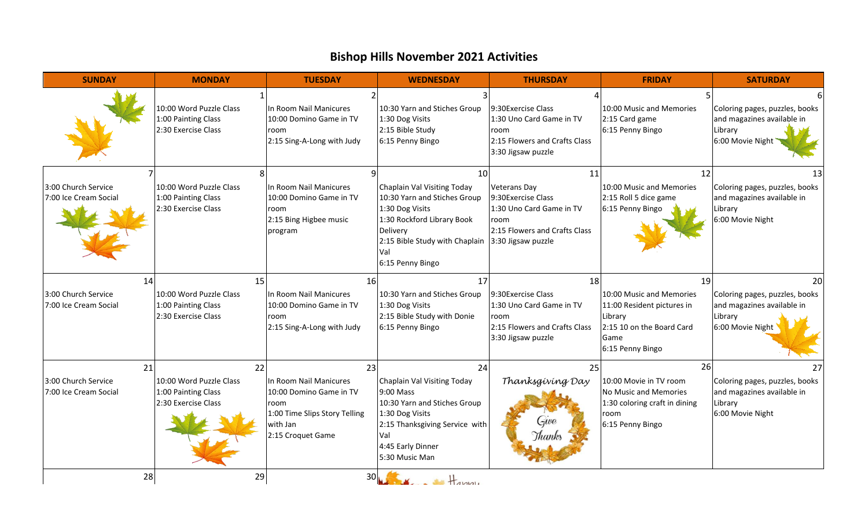## **Bishop Hills November 2021 Activities**

| <b>SUNDAY</b>                                | <b>MONDAY</b>                                                         | <b>TUESDAY</b>                                                                                                              | <b>WEDNESDAY</b>                                                                                                                                                                                               | <b>THURSDAY</b>                                                                                                      | <b>FRIDAY</b>                                                                                                              | <b>SATURDAY</b>                                                                                   |
|----------------------------------------------|-----------------------------------------------------------------------|-----------------------------------------------------------------------------------------------------------------------------|----------------------------------------------------------------------------------------------------------------------------------------------------------------------------------------------------------------|----------------------------------------------------------------------------------------------------------------------|----------------------------------------------------------------------------------------------------------------------------|---------------------------------------------------------------------------------------------------|
|                                              | 10:00 Word Puzzle Class<br>1:00 Painting Class<br>2:30 Exercise Class | In Room Nail Manicures<br>10:00 Domino Game in TV<br>room<br>2:15 Sing-A-Long with Judy                                     | 10:30 Yarn and Stiches Group<br>1:30 Dog Visits<br>2:15 Bible Study<br>6:15 Penny Bingo                                                                                                                        | 9:30Exercise Class<br>1:30 Uno Card Game in TV<br>room<br>2:15 Flowers and Crafts Class<br>3:30 Jigsaw puzzle        | 10:00 Music and Memories<br>2:15 Card game<br>6:15 Penny Bingo                                                             | Coloring pages, puzzles, books<br>and magazines available in<br>Library<br>6:00 Movie Night       |
| 3:00 Church Service<br>7:00 Ice Cream Social | 10:00 Word Puzzle Class<br>1:00 Painting Class<br>2:30 Exercise Class | In Room Nail Manicures<br>10:00 Domino Game in TV<br>room<br>2:15 Bing Higbee music<br>program                              | 10<br>Chaplain Val Visiting Today<br>10:30 Yarn and Stiches Group<br>1:30 Dog Visits<br>1:30 Rockford Library Book<br>Delivery<br>2:15 Bible Study with Chaplain 3:30 Jigsaw puzzle<br>Val<br>6:15 Penny Bingo | 11<br><b>Veterans Day</b><br>9:30Exercise Class<br>1:30 Uno Card Game in TV<br>room<br>2:15 Flowers and Crafts Class | 12<br>10:00 Music and Memories<br>2:15 Roll 5 dice game<br>6:15 Penny Bingo                                                | 13<br>Coloring pages, puzzles, books<br>and magazines available in<br>Library<br>6:00 Movie Night |
| 14                                           | 15                                                                    | 16                                                                                                                          | 17                                                                                                                                                                                                             | 18                                                                                                                   | 19                                                                                                                         | 20                                                                                                |
| 3:00 Church Service<br>7:00 Ice Cream Social | 10:00 Word Puzzle Class<br>1:00 Painting Class<br>2:30 Exercise Class | In Room Nail Manicures<br>10:00 Domino Game in TV<br>room<br>2:15 Sing-A-Long with Judy                                     | 10:30 Yarn and Stiches Group<br>1:30 Dog Visits<br>2:15 Bible Study with Donie<br>6:15 Penny Bingo                                                                                                             | 9:30 Exercise Class<br>1:30 Uno Card Game in TV<br>room<br>2:15 Flowers and Crafts Class<br>3:30 Jigsaw puzzle       | 10:00 Music and Memories<br>11:00 Resident pictures in<br>Library<br>2:15 10 on the Board Card<br>Game<br>6:15 Penny Bingo | Coloring pages, puzzles, books<br>and magazines available in<br>Library<br>6:00 Movie Night       |
| 21                                           | 22                                                                    | 23                                                                                                                          | 24                                                                                                                                                                                                             | 25                                                                                                                   | 26                                                                                                                         | 27                                                                                                |
| 3:00 Church Service<br>7:00 Ice Cream Social | 10:00 Word Puzzle Class<br>1:00 Painting Class<br>2:30 Exercise Class | In Room Nail Manicures<br>10:00 Domino Game in TV<br>room<br>1:00 Time Slips Story Telling<br>with Jan<br>2:15 Croquet Game | Chaplain Val Visiting Today<br>9:00 Mass<br>10:30 Yarn and Stiches Group<br>1:30 Dog Visits<br>2:15 Thanksgiving Service with<br>Val<br>4:45 Early Dinner<br>5:30 Music Man                                    | Thanksgiving Day<br>Gwe<br>Thanks                                                                                    | 10:00 Movie in TV room<br>No Music and Memories<br>1:30 coloring craft in dining<br>room<br>6:15 Penny Bingo               | Coloring pages, puzzles, books<br>and magazines available in<br>Library<br>6:00 Movie Night       |
| 28                                           | 29                                                                    |                                                                                                                             | $30\sqrt{1-x}$                                                                                                                                                                                                 |                                                                                                                      |                                                                                                                            |                                                                                                   |